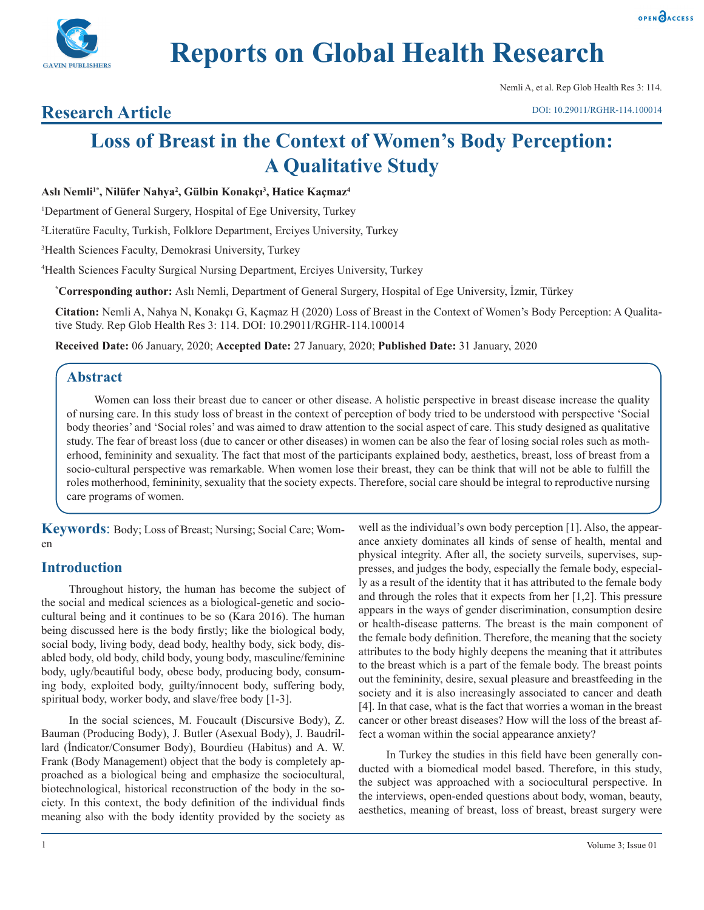

# **Reports on Global Health Research**

Nemli A, et al. Rep Glob Health Res 3: 114.

# **Research Article**

# **Loss of Breast in the Context of Women's Body Perception: A Qualitative Study**

# **Aslı Nemli1\*, Nilüfer Nahya<sup>2</sup> , Gülbin Konakçı<sup>3</sup> , Hatice Kaçmaz<sup>4</sup>**

1 Department of General Surgery, Hospital of Ege University, Turkey

2 Literatüre Faculty, Turkish, Folklore Department, Erciyes University, Turkey

3 Health Sciences Faculty, Demokrasi University, Turkey

4 Health Sciences Faculty Surgical Nursing Department, Erciyes University, Turkey

**\* Corresponding author:** Aslı Nemli, Department of General Surgery, Hospital of Ege University, İzmir, Türkey

**Citation:** Nemli A, Nahya N, Konakçı G, Kaçmaz H (2020) Loss of Breast in the Context of Women's Body Perception: A Qualitative Study. Rep Glob Health Res 3: 114. DOI: 10.29011/RGHR-114.100014

**Received Date:** 06 January, 2020; **Accepted Date:** 27 January, 2020; **Published Date:** 31 January, 2020

# **Abstract**

Women can loss their breast due to cancer or other disease. A holistic perspective in breast disease increase the quality of nursing care. In this study loss of breast in the context of perception of body tried to be understood with perspective 'Social body theories' and 'Social roles' and was aimed to draw attention to the social aspect of care. This study designed as qualitative study. The fear of breast loss (due to cancer or other diseases) in women can be also the fear of losing social roles such as motherhood, femininity and sexuality. The fact that most of the participants explained body, aesthetics, breast, loss of breast from a socio-cultural perspective was remarkable. When women lose their breast, they can be think that will not be able to fulfill the roles motherhood, femininity, sexuality that the society expects. Therefore, social care should be integral to reproductive nursing care programs of women.

**Keywords**: Body; Loss of Breast; Nursing; Social Care; Women

# **Introduction**

Throughout history, the human has become the subject of the social and medical sciences as a biological-genetic and sociocultural being and it continues to be so (Kara 2016). The human being discussed here is the body firstly; like the biological body, social body, living body, dead body, healthy body, sick body, disabled body, old body, child body, young body, masculine/feminine body, ugly/beautiful body, obese body, producing body, consuming body, exploited body, guilty/innocent body, suffering body, spiritual body, worker body, and slave/free body [1-3].

In the social sciences, M. Foucault (Discursive Body), Z. Bauman (Producing Body), J. Butler (Asexual Body), J. Baudrillard (İndicator/Consumer Body), Bourdieu (Habitus) and A. W. Frank (Body Management) object that the body is completely approached as a biological being and emphasize the sociocultural, biotechnological, historical reconstruction of the body in the society. In this context, the body definition of the individual finds meaning also with the body identity provided by the society as

well as the individual's own body perception [1]. Also, the appearance anxiety dominates all kinds of sense of health, mental and physical integrity. After all, the society surveils, supervises, suppresses, and judges the body, especially the female body, especially as a result of the identity that it has attributed to the female body and through the roles that it expects from her [1,2]. This pressure appears in the ways of gender discrimination, consumption desire or health-disease patterns. The breast is the main component of the female body definition. Therefore, the meaning that the society attributes to the body highly deepens the meaning that it attributes to the breast which is a part of the female body. The breast points out the femininity, desire, sexual pleasure and breastfeeding in the society and it is also increasingly associated to cancer and death [4]. In that case, what is the fact that worries a woman in the breast cancer or other breast diseases? How will the loss of the breast affect a woman within the social appearance anxiety?

In Turkey the studies in this field have been generally conducted with a biomedical model based. Therefore, in this study, the subject was approached with a sociocultural perspective. In the interviews, open-ended questions about body, woman, beauty, aesthetics, meaning of breast, loss of breast, breast surgery were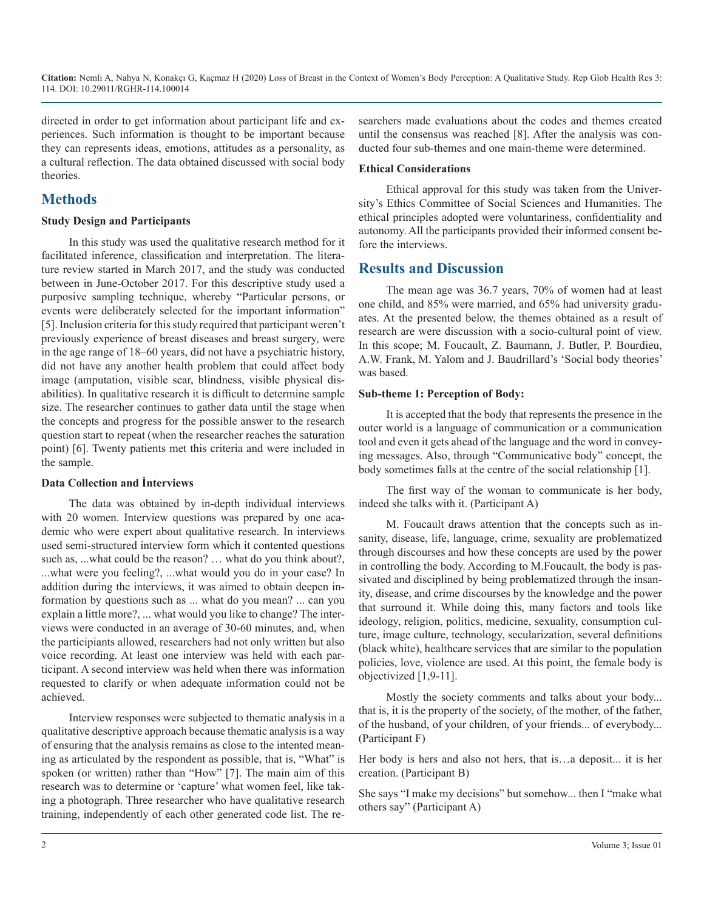directed in order to get information about participant life and experiences. Such information is thought to be important because they can represents ideas, emotions, attitudes as a personality, as a cultural reflection. The data obtained discussed with social body theories.

# **Methods**

#### **Study Design and Participants**

In this study was used the qualitative research method for it facilitated inference, classification and interpretation. The literature review started in March 2017, and the study was conducted between in June-October 2017. For this descriptive study used a purposive sampling technique, whereby "Particular persons, or events were deliberately selected for the important information" [5]. Inclusion criteria for this study required that participant weren't previously experience of breast diseases and breast surgery, were in the age range of 18–60 years, did not have a psychiatric history, did not have any another health problem that could affect body image (amputation, visible scar, blindness, visible physical disabilities). In qualitative research it is difficult to determine sample size. The researcher continues to gather data until the stage when the concepts and progress for the possible answer to the research question start to repeat (when the researcher reaches the saturation point) [6]. Twenty patients met this criteria and were included in the sample.

#### **Data Collection and İnterviews**

The data was obtained by in-depth individual interviews with 20 women. Interview questions was prepared by one academic who were expert about qualitative research. In interviews used semi-structured interview form which it contented questions such as, ...what could be the reason? … what do you think about?, ...what were you feeling?, ...what would you do in your case? In addition during the interviews, it was aimed to obtain deepen information by questions such as ... what do you mean? ... can you explain a little more?, ... what would you like to change? The interviews were conducted in an average of 30-60 minutes, and, when the participiants allowed, researchers had not only written but also voice recording. At least one interview was held with each participant. A second interview was held when there was information requested to clarify or when adequate information could not be achieved.

Interview responses were subjected to thematic analysis in a qualitative descriptive approach because thematic analysis is a way of ensuring that the analysis remains as close to the intented meaning as articulated by the respondent as possible, that is, "What" is spoken (or written) rather than "How" [7]. The main aim of this research was to determine or 'capture' what women feel, like taking a photograph. Three researcher who have qualitative research training, independently of each other generated code list. The researchers made evaluations about the codes and themes created until the consensus was reached [8]. After the analysis was conducted four sub-themes and one main-theme were determined.

#### **Ethical Considerations**

Ethical approval for this study was taken from the University's Ethics Committee of Social Sciences and Humanities. The ethical principles adopted were voluntariness, confidentiality and autonomy. All the participants provided their informed consent before the interviews.

# **Results and Discussion**

The mean age was 36.7 years, 70% of women had at least one child, and 85% were married, and 65% had university graduates. At the presented below, the themes obtained as a result of research are were discussion with a socio-cultural point of view. In this scope; M. Foucault, Z. Baumann, J. Butler, P. Bourdieu, A.W. Frank, M. Yalom and J. Baudrillard's 'Social body theories' was based.

#### **Sub-theme 1: Perception of Body:**

It is accepted that the body that represents the presence in the outer world is a language of communication or a communication tool and even it gets ahead of the language and the word in conveying messages. Also, through "Communicative body" concept, the body sometimes falls at the centre of the social relationship [1].

The first way of the woman to communicate is her body, indeed she talks with it. (Participant A)

M. Foucault draws attention that the concepts such as insanity, disease, life, language, crime, sexuality are problematized through discourses and how these concepts are used by the power in controlling the body. According to M.Foucault, the body is passivated and disciplined by being problematized through the insanity, disease, and crime discourses by the knowledge and the power that surround it. While doing this, many factors and tools like ideology, religion, politics, medicine, sexuality, consumption culture, image culture, technology, secularization, several definitions (black white), healthcare services that are similar to the population policies, love, violence are used. At this point, the female body is objectivized [1,9-11].

Mostly the society comments and talks about your body... that is, it is the property of the society, of the mother, of the father, of the husband, of your children, of your friends... of everybody... (Participant F)

Her body is hers and also not hers, that is…a deposit... it is her creation. (Participant B)

She says "I make my decisions" but somehow... then I "make what others say" (Participant A)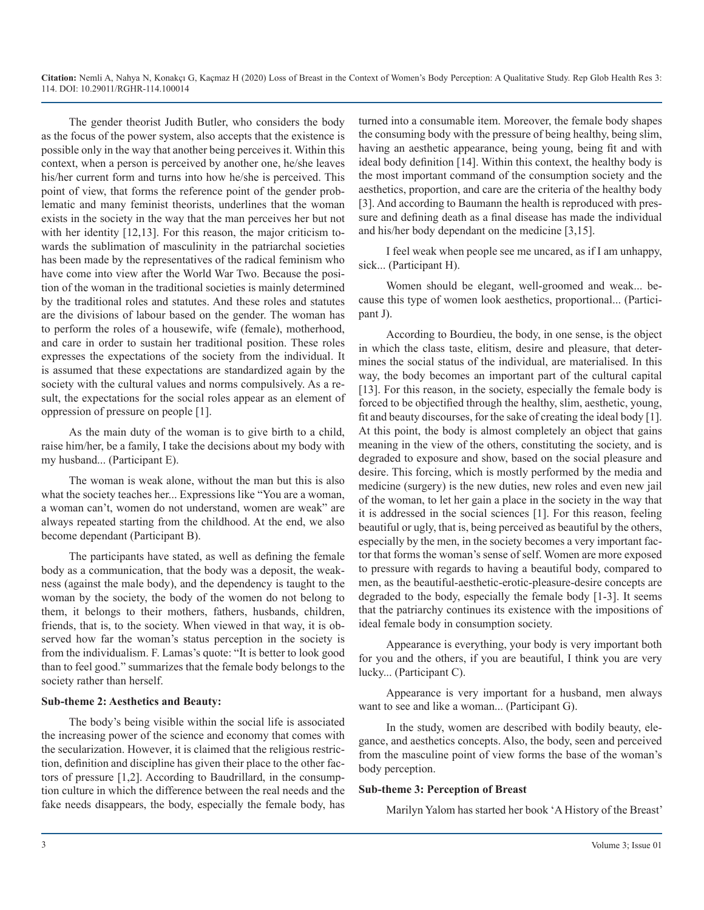The gender theorist Judith Butler, who considers the body as the focus of the power system, also accepts that the existence is possible only in the way that another being perceives it. Within this context, when a person is perceived by another one, he/she leaves his/her current form and turns into how he/she is perceived. This point of view, that forms the reference point of the gender problematic and many feminist theorists, underlines that the woman exists in the society in the way that the man perceives her but not with her identity [12,13]. For this reason, the major criticism towards the sublimation of masculinity in the patriarchal societies has been made by the representatives of the radical feminism who have come into view after the World War Two. Because the position of the woman in the traditional societies is mainly determined by the traditional roles and statutes. And these roles and statutes are the divisions of labour based on the gender. The woman has to perform the roles of a housewife, wife (female), motherhood, and care in order to sustain her traditional position. These roles expresses the expectations of the society from the individual. It is assumed that these expectations are standardized again by the society with the cultural values and norms compulsively. As a result, the expectations for the social roles appear as an element of oppression of pressure on people [1].

As the main duty of the woman is to give birth to a child, raise him/her, be a family, I take the decisions about my body with my husband... (Participant E).

The woman is weak alone, without the man but this is also what the society teaches her... Expressions like "You are a woman, a woman can't, women do not understand, women are weak" are always repeated starting from the childhood. At the end, we also become dependant (Participant B).

The participants have stated, as well as defining the female body as a communication, that the body was a deposit, the weakness (against the male body), and the dependency is taught to the woman by the society, the body of the women do not belong to them, it belongs to their mothers, fathers, husbands, children, friends, that is, to the society. When viewed in that way, it is observed how far the woman's status perception in the society is from the individualism. F. Lamas's quote: "It is better to look good than to feel good." summarizes that the female body belongs to the society rather than herself.

#### **Sub-theme 2: Aesthetics and Beauty:**

The body's being visible within the social life is associated the increasing power of the science and economy that comes with the secularization. However, it is claimed that the religious restriction, definition and discipline has given their place to the other factors of pressure [1,2]. According to Baudrillard, in the consumption culture in which the difference between the real needs and the fake needs disappears, the body, especially the female body, has

turned into a consumable item. Moreover, the female body shapes the consuming body with the pressure of being healthy, being slim, having an aesthetic appearance, being young, being fit and with ideal body definition [14]. Within this context, the healthy body is the most important command of the consumption society and the aesthetics, proportion, and care are the criteria of the healthy body [3]. And according to Baumann the health is reproduced with pressure and defining death as a final disease has made the individual and his/her body dependant on the medicine [3,15].

I feel weak when people see me uncared, as if I am unhappy, sick... (Participant H).

Women should be elegant, well-groomed and weak... because this type of women look aesthetics, proportional... (Participant J).

According to Bourdieu, the body, in one sense, is the object in which the class taste, elitism, desire and pleasure, that determines the social status of the individual, are materialised. In this way, the body becomes an important part of the cultural capital [13]. For this reason, in the society, especially the female body is forced to be objectified through the healthy, slim, aesthetic, young, fit and beauty discourses, for the sake of creating the ideal body [1]. At this point, the body is almost completely an object that gains meaning in the view of the others, constituting the society, and is degraded to exposure and show, based on the social pleasure and desire. This forcing, which is mostly performed by the media and medicine (surgery) is the new duties, new roles and even new jail of the woman, to let her gain a place in the society in the way that it is addressed in the social sciences [1]. For this reason, feeling beautiful or ugly, that is, being perceived as beautiful by the others, especially by the men, in the society becomes a very important factor that forms the woman's sense of self. Women are more exposed to pressure with regards to having a beautiful body, compared to men, as the beautiful-aesthetic-erotic-pleasure-desire concepts are degraded to the body, especially the female body [1-3]. It seems that the patriarchy continues its existence with the impositions of ideal female body in consumption society.

Appearance is everything, your body is very important both for you and the others, if you are beautiful, I think you are very lucky... (Participant C).

Appearance is very important for a husband, men always want to see and like a woman... (Participant G).

In the study, women are described with bodily beauty, elegance, and aesthetics concepts. Also, the body, seen and perceived from the masculine point of view forms the base of the woman's body perception.

#### **Sub-theme 3: Perception of Breast**

Marilyn Yalom has started her book 'A History of the Breast'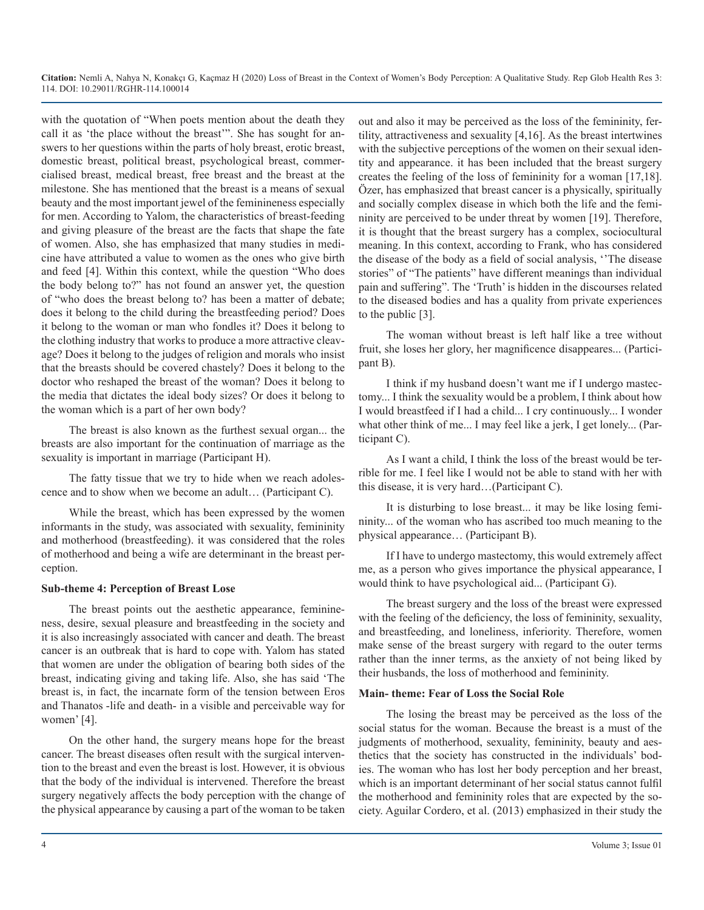with the quotation of "When poets mention about the death they call it as 'the place without the breast'". She has sought for answers to her questions within the parts of holy breast, erotic breast, domestic breast, political breast, psychological breast, commercialised breast, medical breast, free breast and the breast at the milestone. She has mentioned that the breast is a means of sexual beauty and the most important jewel of the feminineness especially for men. According to Yalom, the characteristics of breast-feeding and giving pleasure of the breast are the facts that shape the fate of women. Also, she has emphasized that many studies in medicine have attributed a value to women as the ones who give birth and feed [4]. Within this context, while the question "Who does the body belong to?" has not found an answer yet, the question of "who does the breast belong to? has been a matter of debate; does it belong to the child during the breastfeeding period? Does it belong to the woman or man who fondles it? Does it belong to the clothing industry that works to produce a more attractive cleavage? Does it belong to the judges of religion and morals who insist that the breasts should be covered chastely? Does it belong to the doctor who reshaped the breast of the woman? Does it belong to the media that dictates the ideal body sizes? Or does it belong to the woman which is a part of her own body?

The breast is also known as the furthest sexual organ... the breasts are also important for the continuation of marriage as the sexuality is important in marriage (Participant H).

The fatty tissue that we try to hide when we reach adolescence and to show when we become an adult… (Participant C).

While the breast, which has been expressed by the women informants in the study, was associated with sexuality, femininity and motherhood (breastfeeding). it was considered that the roles of motherhood and being a wife are determinant in the breast perception.

#### **Sub-theme 4: Perception of Breast Lose**

The breast points out the aesthetic appearance, feminineness, desire, sexual pleasure and breastfeeding in the society and it is also increasingly associated with cancer and death. The breast cancer is an outbreak that is hard to cope with. Yalom has stated that women are under the obligation of bearing both sides of the breast, indicating giving and taking life. Also, she has said 'The breast is, in fact, the incarnate form of the tension between Eros and Thanatos -life and death- in a visible and perceivable way for women' [4].

On the other hand, the surgery means hope for the breast cancer. The breast diseases often result with the surgical intervention to the breast and even the breast is lost. However, it is obvious that the body of the individual is intervened. Therefore the breast surgery negatively affects the body perception with the change of the physical appearance by causing a part of the woman to be taken

out and also it may be perceived as the loss of the femininity, fertility, attractiveness and sexuality [4,16]. As the breast intertwines with the subjective perceptions of the women on their sexual identity and appearance. it has been included that the breast surgery creates the feeling of the loss of femininity for a woman [17,18]. Özer, has emphasized that breast cancer is a physically, spiritually and socially complex disease in which both the life and the femininity are perceived to be under threat by women [19]. Therefore, it is thought that the breast surgery has a complex, sociocultural meaning. In this context, according to Frank, who has considered the disease of the body as a field of social analysis, ''The disease stories" of "The patients" have different meanings than individual pain and suffering". The 'Truth' is hidden in the discourses related to the diseased bodies and has a quality from private experiences to the public [3].

The woman without breast is left half like a tree without fruit, she loses her glory, her magnificence disappeares... (Participant B).

I think if my husband doesn't want me if I undergo mastectomy... I think the sexuality would be a problem, I think about how I would breastfeed if I had a child... I cry continuously... I wonder what other think of me... I may feel like a jerk, I get lonely... (Participant C).

As I want a child, I think the loss of the breast would be terrible for me. I feel like I would not be able to stand with her with this disease, it is very hard…(Participant C).

It is disturbing to lose breast... it may be like losing femininity... of the woman who has ascribed too much meaning to the physical appearance… (Participant B).

If I have to undergo mastectomy, this would extremely affect me, as a person who gives importance the physical appearance, I would think to have psychological aid... (Participant G).

The breast surgery and the loss of the breast were expressed with the feeling of the deficiency, the loss of femininity, sexuality, and breastfeeding, and loneliness, inferiority. Therefore, women make sense of the breast surgery with regard to the outer terms rather than the inner terms, as the anxiety of not being liked by their husbands, the loss of motherhood and femininity.

#### **Main- theme: Fear of Loss the Social Role**

The losing the breast may be perceived as the loss of the social status for the woman. Because the breast is a must of the judgments of motherhood, sexuality, femininity, beauty and aesthetics that the society has constructed in the individuals' bodies. The woman who has lost her body perception and her breast, which is an important determinant of her social status cannot fulfil the motherhood and femininity roles that are expected by the society. Aguilar Cordero, et al. (2013) emphasized in their study the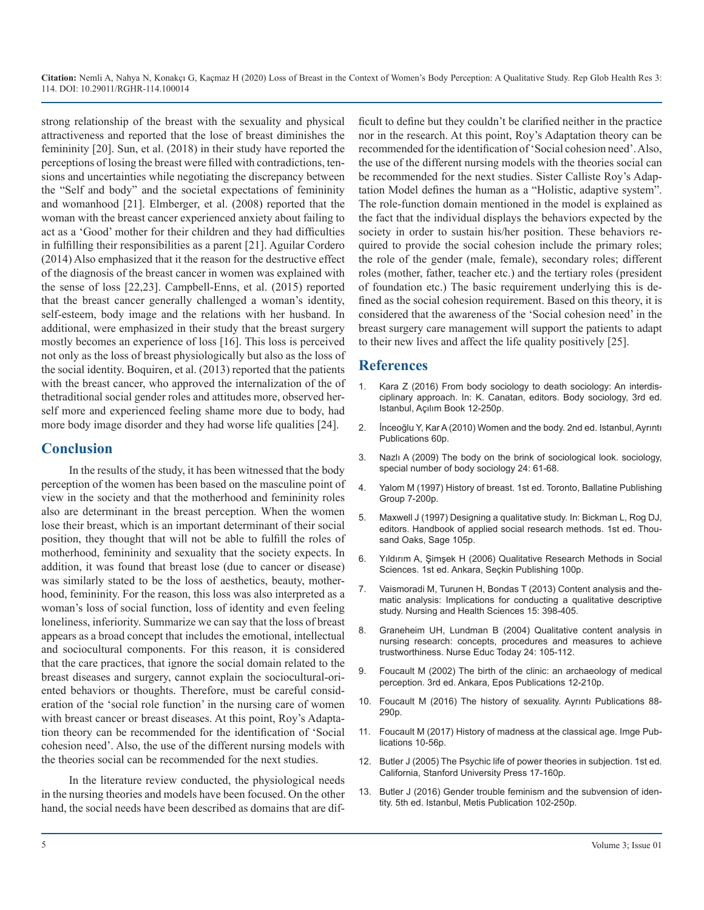strong relationship of the breast with the sexuality and physical attractiveness and reported that the lose of breast diminishes the femininity [20]. Sun, et al. (2018) in their study have reported the perceptions of losing the breast were filled with contradictions, tensions and uncertainties while negotiating the discrepancy between the "Self and body" and the societal expectations of femininity and womanhood [21]. Elmberger, et al. (2008) reported that the woman with the breast cancer experienced anxiety about failing to act as a 'Good' mother for their children and they had difficulties in fulfilling their responsibilities as a parent [21]. Aguilar Cordero (2014) Also emphasized that it the reason for the destructive effect of the diagnosis of the breast cancer in women was explained with the sense of loss [22,23]. Campbell-Enns, et al. (2015) reported that the breast cancer generally challenged a woman's identity, self-esteem, body image and the relations with her husband. In additional, were emphasized in their study that the breast surgery mostly becomes an experience of loss [16]. This loss is perceived not only as the loss of breast physiologically but also as the loss of the social identity. Boquiren, et al. (2013) reported that the patients with the breast cancer, who approved the internalization of the of thetraditional social gender roles and attitudes more, observed herself more and experienced feeling shame more due to body, had more body image disorder and they had worse life qualities [24].

# **Conclusion**

In the results of the study, it has been witnessed that the body perception of the women has been based on the masculine point of [view in the society and that the motherhood and femininity roles](https://www.amazon.com/History-Breast-Marilyn-Yalom/dp/0345388941)  also are determinant in the breast perception. When the women [lose their breast, which is an important determinant of their social](https://books.google.co.in/books?hl=en&lr=&id=m4_MAwAAQBAJ&oi=fnd&pg=PA214&dq=Designing+a+qualitative+study.+In:+Bickman+L,+Rog+DJ,+editors.+Handbook+of+applied+social+research+methods.&ots=ZU_DSrFQxq&sig=fEUMFVN0CG7oqAGbgUf4beiKqmw#v=onepage&q&f=false)  position, they thought that will not be able to fulfill the roles of motherhood, femininity and sexuality that the society expects. In [addition, it was found that breast lose \(due to cancer or disease\)](https://www.scirp.org/(S(351jmbntvnsjt1aadkposzje))/reference/ReferencesPapers.aspx?ReferenceID=918678)  was similarly stated to be the loss of aesthetics, beauty, motherhood, femininity. For the reason, this loss was also interpreted as a woman's loss of social function, loss of identity and even feeling loneliness, inferiority. Summarize we can say that the loss of breast appears as a broad concept that includes the emotional, intellectual and sociocultural components. For this reason, it is considered that the care practices, that ignore the social domain related to the breast diseases and surgery, cannot explain the sociocultural-oriented behaviors or thoughts. Therefore, must be careful consideration of the 'social role function' in the nursing care of women with breast cancer or breast diseases. At this point, Roy's Adaptation theory can be recommended for the identification of 'Social [cohesion need'. Also, the use of the different nursing models with](https://www.mvorganizing.org/history-of-madness-in-the-classical-age/)  the theories social can be recommended for the next studies.

In the literature review conducted, the physiological needs in the nursing theories and models have been focused. On the other hand, the social needs have been described as domains that are difficult to define but they couldn't be clarified neither in the practice nor in the research. At this point, Roy's Adaptation theory can be recommended for the identification of 'Social cohesion need'. Also, the use of the different nursing models with the theories social can be recommended for the next studies. Sister Calliste Roy's Adaptation Model defines the human as a "Holistic, adaptive system". The role-function domain mentioned in the model is explained as the fact that the individual displays the behaviors expected by the society in order to sustain his/her position. These behaviors required to provide the social cohesion include the primary roles; the role of the gender (male, female), secondary roles; different roles (mother, father, teacher etc.) and the tertiary roles (president of foundation etc.) The basic requirement underlying this is defined as the social cohesion requirement. Based on this theory, it is considered that the awareness of the 'Social cohesion need' in the breast surgery care management will support the patients to adapt to their new lives and affect the life quality positively [25].

### **References**

- 1. Kara Z (2016) From body sociology to death sociology: An interdisciplinary approach. In: K. Canatan, editors. Body sociology, 3rd ed. Istanbul, Açılım Book 12-250p.
- 2. İnceoğlu Y, Kar A (2010) Women and the body. 2nd ed. Istanbul, Ayrıntı Publications 60p.
- 3. Nazlı A (2009) The body on the brink of sociological look. sociology, special number of body sociology 24: 61-68.
- 4. [Yalom M \(1997\) History of breast. 1st ed. Toronto, Ballatine Publishing](https://www.amazon.com/History-Breast-Marilyn-Yalom/dp/0345388941)  Group 7-200p.
- 5. [Maxwell J \(1997\) Designing a qualitative study. In: Bickman L, Rog DJ,](https://books.google.co.in/books?hl=en&lr=&id=m4_MAwAAQBAJ&oi=fnd&pg=PA214&dq=Designing+a+qualitative+study.+In:+Bickman+L,+Rog+DJ,+editors.+Handbook+of+applied+social+research+methods.&ots=ZU_DSrFQxq&sig=fEUMFVN0CG7oqAGbgUf4beiKqmw#v=onepage&q&f=false)  editors. Handbook of applied social research methods. 1st ed. Thou[sand Oaks, Sage 105p](https://books.google.co.in/books?hl=en&lr=&id=m4_MAwAAQBAJ&oi=fnd&pg=PA214&dq=Designing+a+qualitative+study.+In:+Bickman+L,+Rog+DJ,+editors.+Handbook+of+applied+social+research+methods.&ots=ZU_DSrFQxq&sig=fEUMFVN0CG7oqAGbgUf4beiKqmw#v=onepage&q&f=false).
- 6. [Yıldırım A, Şimşek H \(2006\) Qualitative Research Methods in Social](https://www.scirp.org/(S(351jmbntvnsjt1aadkposzje))/reference/ReferencesPapers.aspx?ReferenceID=918678)  Sciences. 1st ed. Ankara, Seçkin Publishing 100p.
- 7. [Vaismoradi M, Turunen H, Bondas T \(2013\) Content analysis and the](https://www.ncbi.nlm.nih.gov/pubmed/23480423)[matic analysis: Implications for conducting a qualitative descriptive](https://www.ncbi.nlm.nih.gov/pubmed/23480423)  [study. Nursing and Health Sciences 15: 398-405](https://www.ncbi.nlm.nih.gov/pubmed/23480423).
- 8. [Graneheim UH, Lundman B \(2004\) Qualitative content analysis in](https://www.ncbi.nlm.nih.gov/pubmed/14769454)  [nursing research: concepts, procedures and measures to achieve](https://www.ncbi.nlm.nih.gov/pubmed/14769454)  [trustworthiness. Nurse Educ Today 24: 105-112](https://www.ncbi.nlm.nih.gov/pubmed/14769454).
- 9. [Foucault M \(2002\) The birth of the clinic: an archaeology of medical](http://home.ku.edu.tr/~mbaker/cshs503/foucaultclinic.pdf)  [perception. 3rd ed. Ankara, Epos Publications 12-210p](http://home.ku.edu.tr/~mbaker/cshs503/foucaultclinic.pdf).
- 10. Foucault M (2016) The history of sexuality. Ayrıntı Publications 88- 290p.
- 11. [Foucault M \(2017\) History of madness at the classical age. Imge Pub](https://www.mvorganizing.org/history-of-madness-in-the-classical-age/)lications 10-56p.
- 12. [Butler J \(2005\) The Psychic life of power theories in subjection. 1st ed.](https://web.education.wisc.edu/halverson/wp-content/uploads/sites/33/2012/12/Judith-Butler-The-Psychic-Life-of-Power-copy.pdf)  [California, Stanford University Press 17-160p](https://web.education.wisc.edu/halverson/wp-content/uploads/sites/33/2012/12/Judith-Butler-The-Psychic-Life-of-Power-copy.pdf).
- 13. [Butler J \(2016\) Gender trouble feminism and the subvension of iden](http://lauragonzalez.com/TC/BUTLER_gender_trouble.pdf)[tity. 5th ed. Istanbul, Metis Publication 102-250p](http://lauragonzalez.com/TC/BUTLER_gender_trouble.pdf).